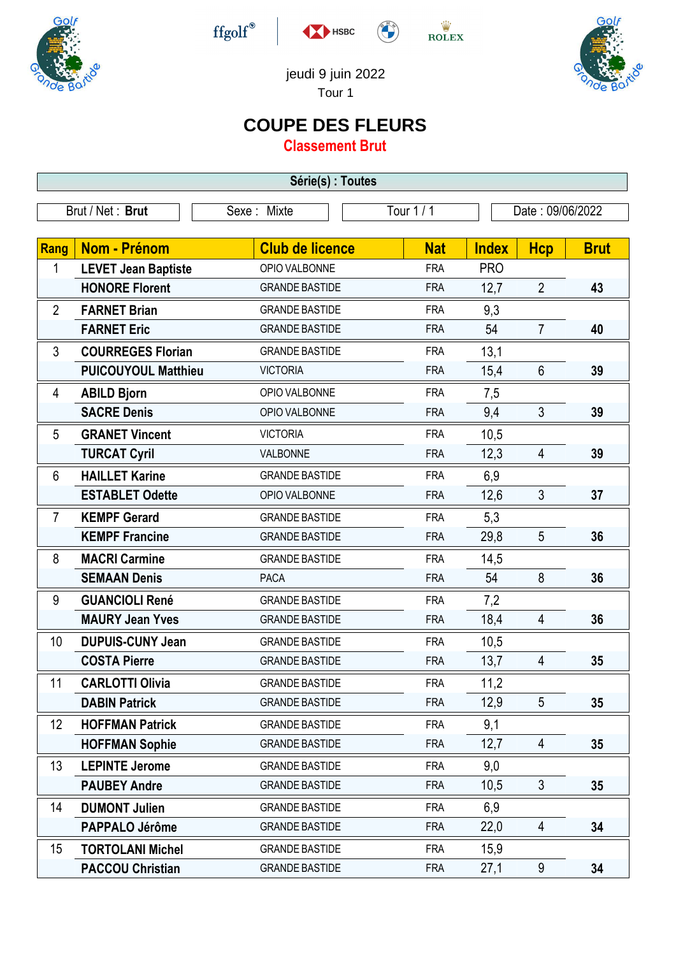

 $\operatorname{ffgolf}^{\circledast}$ 







jeudi 9 juin 2022 Tour 1

## **COUPE DES FLEURS**

**Classement Brut**

| Série(s) : Toutes |                            |                        |            |              |                  |             |  |
|-------------------|----------------------------|------------------------|------------|--------------|------------------|-------------|--|
| Brut / Net: Brut  |                            | Sexe: Mixte            | Tour 1 / 1 |              | Date: 09/06/2022 |             |  |
|                   |                            |                        |            |              |                  |             |  |
| Rang              | Nom - Prénom               | <b>Club de licence</b> | <b>Nat</b> | <b>Index</b> | <b>Hcp</b>       | <b>Brut</b> |  |
| 1                 | <b>LEVET Jean Baptiste</b> | OPIO VALBONNE          | <b>FRA</b> | <b>PRO</b>   |                  |             |  |
|                   | <b>HONORE Florent</b>      | <b>GRANDE BASTIDE</b>  | <b>FRA</b> | 12,7         | $\overline{2}$   | 43          |  |
| $\overline{2}$    | <b>FARNET Brian</b>        | <b>GRANDE BASTIDE</b>  | <b>FRA</b> | 9,3          |                  |             |  |
|                   | <b>FARNET Eric</b>         | <b>GRANDE BASTIDE</b>  | <b>FRA</b> | 54           | $\overline{7}$   | 40          |  |
| 3                 | <b>COURREGES Florian</b>   | <b>GRANDE BASTIDE</b>  | <b>FRA</b> | 13,1         |                  |             |  |
|                   | <b>PUICOUYOUL Matthieu</b> | <b>VICTORIA</b>        | <b>FRA</b> | 15,4         | $6\phantom{1}$   | 39          |  |
| 4                 | <b>ABILD Bjorn</b>         | OPIO VALBONNE          | <b>FRA</b> | 7,5          |                  |             |  |
|                   | <b>SACRE Denis</b>         | OPIO VALBONNE          | <b>FRA</b> | 9,4          | $\mathfrak{Z}$   | 39          |  |
| 5                 | <b>GRANET Vincent</b>      | <b>VICTORIA</b>        | <b>FRA</b> | 10,5         |                  |             |  |
|                   | <b>TURCAT Cyril</b>        | VALBONNE               | <b>FRA</b> | 12,3         | $\overline{4}$   | 39          |  |
| 6                 | <b>HAILLET Karine</b>      | <b>GRANDE BASTIDE</b>  | <b>FRA</b> | 6,9          |                  |             |  |
|                   | <b>ESTABLET Odette</b>     | OPIO VALBONNE          | <b>FRA</b> | 12,6         | $\overline{3}$   | 37          |  |
| $\overline{7}$    | <b>KEMPF Gerard</b>        | <b>GRANDE BASTIDE</b>  | <b>FRA</b> | 5,3          |                  |             |  |
|                   | <b>KEMPF Francine</b>      | <b>GRANDE BASTIDE</b>  | <b>FRA</b> | 29,8         | 5                | 36          |  |
| 8                 | <b>MACRI Carmine</b>       | <b>GRANDE BASTIDE</b>  | <b>FRA</b> | 14,5         |                  |             |  |
|                   | <b>SEMAAN Denis</b>        | <b>PACA</b>            | <b>FRA</b> | 54           | 8                | 36          |  |
| 9                 | <b>GUANCIOLI René</b>      | <b>GRANDE BASTIDE</b>  | <b>FRA</b> | 7,2          |                  |             |  |
|                   | <b>MAURY Jean Yves</b>     | <b>GRANDE BASTIDE</b>  | <b>FRA</b> | 18,4         | $\overline{4}$   | 36          |  |
| 10                | <b>DUPUIS-CUNY Jean</b>    | <b>GRANDE BASTIDE</b>  | <b>FRA</b> | 10,5         |                  |             |  |
|                   | <b>COSTA Pierre</b>        | <b>GRANDE BASTIDE</b>  | <b>FRA</b> | 13,7         | $\overline{4}$   | 35          |  |
| 11                | <b>CARLOTTI Olivia</b>     | <b>GRANDE BASTIDE</b>  | <b>FRA</b> | 11,2         |                  |             |  |
|                   | <b>DABIN Patrick</b>       | <b>GRANDE BASTIDE</b>  | <b>FRA</b> | 12,9         | 5                | 35          |  |
| 12                | <b>HOFFMAN Patrick</b>     | <b>GRANDE BASTIDE</b>  | <b>FRA</b> | 9,1          |                  |             |  |
|                   | <b>HOFFMAN Sophie</b>      | <b>GRANDE BASTIDE</b>  | <b>FRA</b> | 12,7         | 4                | 35          |  |
| 13                | <b>LEPINTE Jerome</b>      | <b>GRANDE BASTIDE</b>  | <b>FRA</b> | 9,0          |                  |             |  |
|                   | <b>PAUBEY Andre</b>        | <b>GRANDE BASTIDE</b>  | <b>FRA</b> | 10,5         | $\mathfrak{Z}$   | 35          |  |
| 14                | <b>DUMONT Julien</b>       | <b>GRANDE BASTIDE</b>  | <b>FRA</b> | 6,9          |                  |             |  |
|                   | PAPPALO Jérôme             | <b>GRANDE BASTIDE</b>  | <b>FRA</b> | 22,0         | 4                | 34          |  |
| 15                | <b>TORTOLANI Michel</b>    | <b>GRANDE BASTIDE</b>  | <b>FRA</b> | 15,9         |                  |             |  |
|                   | <b>PACCOU Christian</b>    | <b>GRANDE BASTIDE</b>  | <b>FRA</b> | 27,1         | 9                | 34          |  |
|                   |                            |                        |            |              |                  |             |  |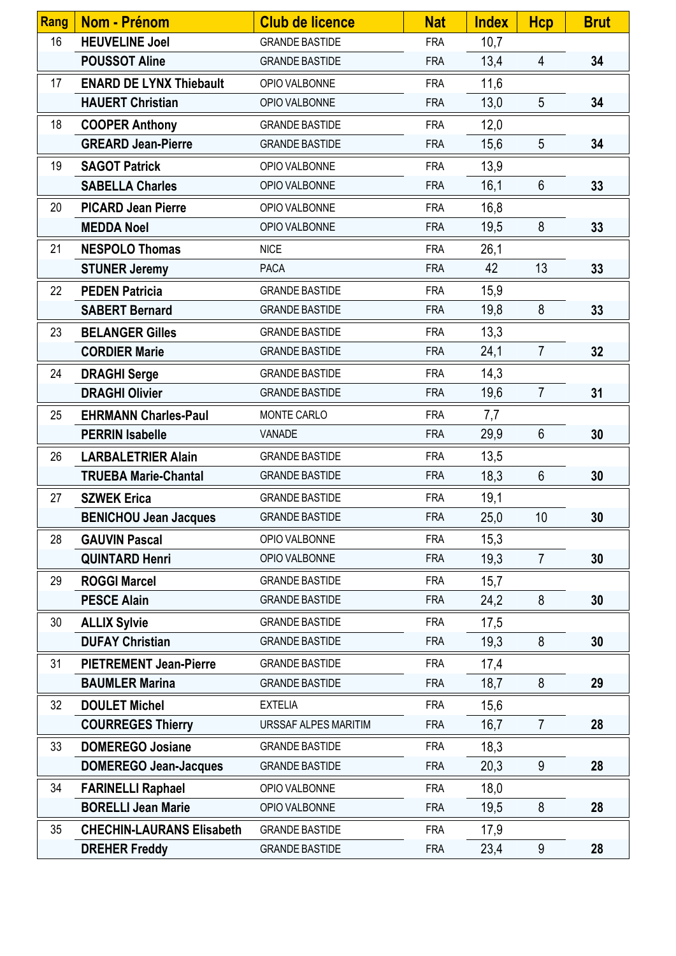| <b>Rang</b> | <b>Nom - Prénom</b>              | <b>Club de licence</b> | <b>Nat</b> | <b>Index</b> | <b>Hcp</b>      | <b>Brut</b> |
|-------------|----------------------------------|------------------------|------------|--------------|-----------------|-------------|
| 16          | <b>HEUVELINE Joel</b>            | <b>GRANDE BASTIDE</b>  | <b>FRA</b> | 10,7         |                 |             |
|             | <b>POUSSOT Aline</b>             | <b>GRANDE BASTIDE</b>  | <b>FRA</b> | 13,4         | $\overline{4}$  | 34          |
| 17          | <b>ENARD DE LYNX Thiebault</b>   | OPIO VALBONNE          | <b>FRA</b> | 11,6         |                 |             |
|             | <b>HAUERT Christian</b>          | OPIO VALBONNE          | <b>FRA</b> | 13,0         | $5\overline{)}$ | 34          |
| 18          | <b>COOPER Anthony</b>            | <b>GRANDE BASTIDE</b>  | <b>FRA</b> | 12,0         |                 |             |
|             | <b>GREARD Jean-Pierre</b>        | <b>GRANDE BASTIDE</b>  | <b>FRA</b> | 15,6         | $5\overline{)}$ | 34          |
| 19          | <b>SAGOT Patrick</b>             | OPIO VALBONNE          | <b>FRA</b> | 13,9         |                 |             |
|             | <b>SABELLA Charles</b>           | OPIO VALBONNE          | <b>FRA</b> | 16,1         | 6               | 33          |
| 20          | <b>PICARD Jean Pierre</b>        | OPIO VALBONNE          | <b>FRA</b> | 16,8         |                 |             |
|             | <b>MEDDA Noel</b>                | OPIO VALBONNE          | <b>FRA</b> | 19,5         | 8               | 33          |
| 21          | <b>NESPOLO Thomas</b>            | <b>NICE</b>            | <b>FRA</b> | 26,1         |                 |             |
|             | <b>STUNER Jeremy</b>             | <b>PACA</b>            | <b>FRA</b> | 42           | 13              | 33          |
| 22          | <b>PEDEN Patricia</b>            | <b>GRANDE BASTIDE</b>  | <b>FRA</b> | 15,9         |                 |             |
|             | <b>SABERT Bernard</b>            | <b>GRANDE BASTIDE</b>  | <b>FRA</b> | 19,8         | 8               | 33          |
| 23          | <b>BELANGER Gilles</b>           | <b>GRANDE BASTIDE</b>  | <b>FRA</b> | 13,3         |                 |             |
|             | <b>CORDIER Marie</b>             | <b>GRANDE BASTIDE</b>  | <b>FRA</b> | 24,1         | $\overline{7}$  | 32          |
| 24          | <b>DRAGHI Serge</b>              | <b>GRANDE BASTIDE</b>  | <b>FRA</b> | 14,3         |                 |             |
|             | <b>DRAGHI Olivier</b>            | <b>GRANDE BASTIDE</b>  | <b>FRA</b> | 19,6         | $\overline{7}$  | 31          |
| 25          | <b>EHRMANN Charles-Paul</b>      | MONTE CARLO            | <b>FRA</b> | 7,7          |                 |             |
|             | <b>PERRIN Isabelle</b>           | VANADE                 | <b>FRA</b> | 29,9         | $6\phantom{.}$  | 30          |
| 26          | <b>LARBALETRIER Alain</b>        | <b>GRANDE BASTIDE</b>  | <b>FRA</b> | 13,5         |                 |             |
|             | <b>TRUEBA Marie-Chantal</b>      | <b>GRANDE BASTIDE</b>  | <b>FRA</b> | 18,3         | $6\phantom{1}$  | 30          |
| 27          | <b>SZWEK Erica</b>               | <b>GRANDE BASTIDE</b>  | <b>FRA</b> | 19,1         |                 |             |
|             | <b>BENICHOU Jean Jacques</b>     | <b>GRANDE BASTIDE</b>  | <b>FRA</b> | 25,0         | 10              | 30          |
| 28          | <b>GAUVIN Pascal</b>             | OPIO VALBONNE          | <b>FRA</b> | 15,3         |                 |             |
|             | <b>QUINTARD Henri</b>            | OPIO VALBONNE          | <b>FRA</b> | 19,3         | $\overline{7}$  | 30          |
| 29          | <b>ROGGI Marcel</b>              | <b>GRANDE BASTIDE</b>  | <b>FRA</b> | 15,7         |                 |             |
|             | <b>PESCE Alain</b>               | <b>GRANDE BASTIDE</b>  | <b>FRA</b> | 24,2         | 8               | 30          |
| 30          | <b>ALLIX Sylvie</b>              | <b>GRANDE BASTIDE</b>  | <b>FRA</b> | 17,5         |                 |             |
|             | <b>DUFAY Christian</b>           | <b>GRANDE BASTIDE</b>  | <b>FRA</b> | 19,3         | 8               | 30          |
| 31          | <b>PIETREMENT Jean-Pierre</b>    | <b>GRANDE BASTIDE</b>  | <b>FRA</b> | 17,4         |                 |             |
|             | <b>BAUMLER Marina</b>            | <b>GRANDE BASTIDE</b>  | <b>FRA</b> | 18,7         | 8               | 29          |
| 32          | <b>DOULET Michel</b>             | <b>EXTELIA</b>         | <b>FRA</b> | 15,6         |                 |             |
|             | <b>COURREGES Thierry</b>         | URSSAF ALPES MARITIM   | <b>FRA</b> | 16,7         | $\overline{7}$  | 28          |
| 33          | <b>DOMEREGO Josiane</b>          | <b>GRANDE BASTIDE</b>  | <b>FRA</b> | 18,3         |                 |             |
|             | <b>DOMEREGO Jean-Jacques</b>     | <b>GRANDE BASTIDE</b>  | <b>FRA</b> | 20,3         | 9               | 28          |
| 34          | <b>FARINELLI Raphael</b>         | OPIO VALBONNE          | <b>FRA</b> | 18,0         |                 |             |
|             | <b>BORELLI Jean Marie</b>        | OPIO VALBONNE          | <b>FRA</b> | 19,5         | 8               | 28          |
| 35          | <b>CHECHIN-LAURANS Elisabeth</b> | <b>GRANDE BASTIDE</b>  | <b>FRA</b> | 17,9         |                 |             |
|             | <b>DREHER Freddy</b>             | <b>GRANDE BASTIDE</b>  | <b>FRA</b> | 23,4         | 9               | 28          |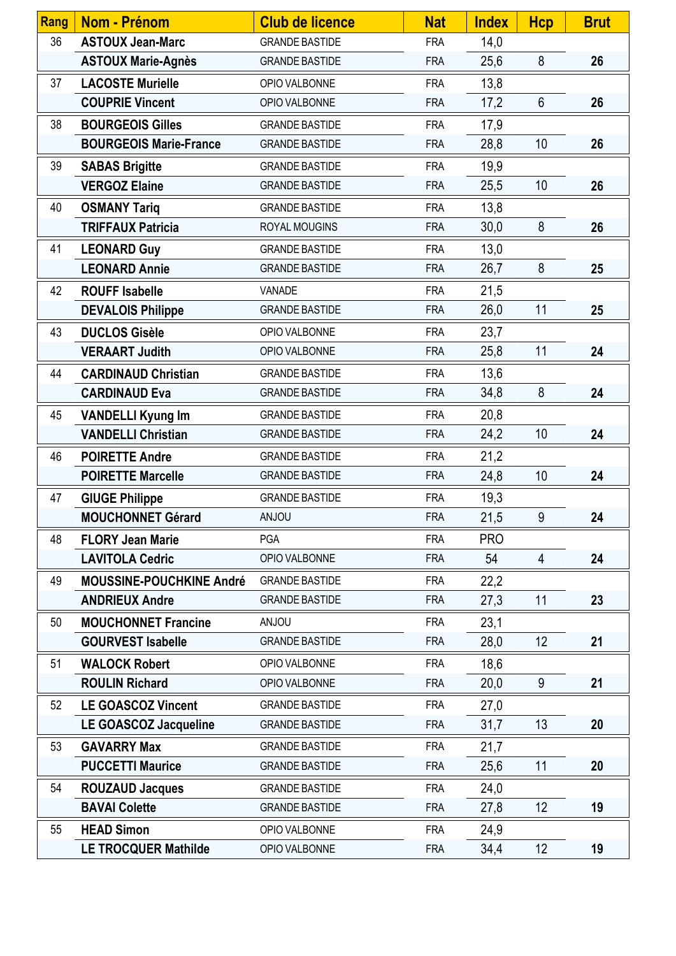| Rang | <b>Nom - Prénom</b>             | <b>Club de licence</b> | <b>Nat</b> | <b>Index</b> | <b>Hcp</b>     | <b>Brut</b> |
|------|---------------------------------|------------------------|------------|--------------|----------------|-------------|
| 36   | <b>ASTOUX Jean-Marc</b>         | <b>GRANDE BASTIDE</b>  | <b>FRA</b> | 14,0         |                |             |
|      | <b>ASTOUX Marie-Agnès</b>       | <b>GRANDE BASTIDE</b>  | <b>FRA</b> | 25,6         | $8\phantom{1}$ | 26          |
| 37   | <b>LACOSTE Murielle</b>         | OPIO VALBONNE          | <b>FRA</b> | 13,8         |                |             |
|      | <b>COUPRIE Vincent</b>          | OPIO VALBONNE          | <b>FRA</b> | 17,2         | $6\phantom{.}$ | 26          |
| 38   | <b>BOURGEOIS Gilles</b>         | <b>GRANDE BASTIDE</b>  | <b>FRA</b> | 17,9         |                |             |
|      | <b>BOURGEOIS Marie-France</b>   | <b>GRANDE BASTIDE</b>  | <b>FRA</b> | 28,8         | 10             | 26          |
| 39   | <b>SABAS Brigitte</b>           | <b>GRANDE BASTIDE</b>  | <b>FRA</b> | 19,9         |                |             |
|      | <b>VERGOZ Elaine</b>            | <b>GRANDE BASTIDE</b>  | <b>FRA</b> | 25,5         | 10             | 26          |
| 40   | <b>OSMANY Tariq</b>             | <b>GRANDE BASTIDE</b>  | <b>FRA</b> | 13,8         |                |             |
|      | <b>TRIFFAUX Patricia</b>        | ROYAL MOUGINS          | <b>FRA</b> | 30,0         | 8              | 26          |
| 41   | <b>LEONARD Guy</b>              | <b>GRANDE BASTIDE</b>  | <b>FRA</b> | 13,0         |                |             |
|      | <b>LEONARD Annie</b>            | <b>GRANDE BASTIDE</b>  | <b>FRA</b> | 26,7         | 8              | 25          |
| 42   | <b>ROUFF Isabelle</b>           | VANADE                 | <b>FRA</b> | 21,5         |                |             |
|      | <b>DEVALOIS Philippe</b>        | <b>GRANDE BASTIDE</b>  | <b>FRA</b> | 26,0         | 11             | 25          |
| 43   | <b>DUCLOS Gisèle</b>            | OPIO VALBONNE          | <b>FRA</b> | 23,7         |                |             |
|      | <b>VERAART Judith</b>           | OPIO VALBONNE          | <b>FRA</b> | 25,8         | 11             | 24          |
| 44   | <b>CARDINAUD Christian</b>      | <b>GRANDE BASTIDE</b>  | <b>FRA</b> | 13,6         |                |             |
|      | <b>CARDINAUD Eva</b>            | <b>GRANDE BASTIDE</b>  | <b>FRA</b> | 34,8         | 8              | 24          |
| 45   | <b>VANDELLI Kyung Im</b>        | <b>GRANDE BASTIDE</b>  | <b>FRA</b> | 20,8         |                |             |
|      | <b>VANDELLI Christian</b>       | <b>GRANDE BASTIDE</b>  | <b>FRA</b> | 24,2         | 10             | 24          |
| 46   | <b>POIRETTE Andre</b>           | <b>GRANDE BASTIDE</b>  | <b>FRA</b> | 21,2         |                |             |
|      | <b>POIRETTE Marcelle</b>        | <b>GRANDE BASTIDE</b>  | <b>FRA</b> | 24,8         | 10             | 24          |
| 47   | <b>GIUGE Philippe</b>           | <b>GRANDE BASTIDE</b>  | <b>FRA</b> | 19,3         |                |             |
|      | <b>MOUCHONNET Gérard</b>        | <b>ANJOU</b>           | <b>FRA</b> | 21,5         | 9              | 24          |
| 48   | <b>FLORY Jean Marie</b>         | <b>PGA</b>             | <b>FRA</b> | <b>PRO</b>   |                |             |
|      | <b>LAVITOLA Cedric</b>          | OPIO VALBONNE          | <b>FRA</b> | 54           | 4              | 24          |
| 49   | <b>MOUSSINE-POUCHKINE André</b> | <b>GRANDE BASTIDE</b>  | <b>FRA</b> | 22,2         |                |             |
|      | <b>ANDRIEUX Andre</b>           | <b>GRANDE BASTIDE</b>  | <b>FRA</b> | 27,3         | 11             | 23          |
| 50   | <b>MOUCHONNET Francine</b>      | <b>UOLIA</b>           | <b>FRA</b> | 23,1         |                |             |
|      | <b>GOURVEST Isabelle</b>        | <b>GRANDE BASTIDE</b>  | <b>FRA</b> | 28,0         | 12             | 21          |
| 51   | <b>WALOCK Robert</b>            | OPIO VALBONNE          | <b>FRA</b> | 18,6         |                |             |
|      | <b>ROULIN Richard</b>           | OPIO VALBONNE          | <b>FRA</b> | 20,0         | 9              | 21          |
| 52   | <b>LE GOASCOZ Vincent</b>       | <b>GRANDE BASTIDE</b>  | <b>FRA</b> | 27,0         |                |             |
|      | LE GOASCOZ Jacqueline           | <b>GRANDE BASTIDE</b>  | <b>FRA</b> | 31,7         | 13             | 20          |
| 53   | <b>GAVARRY Max</b>              | <b>GRANDE BASTIDE</b>  | <b>FRA</b> | 21,7         |                |             |
|      | <b>PUCCETTI Maurice</b>         | <b>GRANDE BASTIDE</b>  | <b>FRA</b> | 25,6         | 11             | 20          |
| 54   | <b>ROUZAUD Jacques</b>          | <b>GRANDE BASTIDE</b>  | <b>FRA</b> | 24,0         |                |             |
|      | <b>BAVAI Colette</b>            | <b>GRANDE BASTIDE</b>  | <b>FRA</b> | 27,8         | 12             | 19          |
| 55   | <b>HEAD Simon</b>               | OPIO VALBONNE          | <b>FRA</b> | 24,9         |                |             |
|      | <b>LE TROCQUER Mathilde</b>     | OPIO VALBONNE          | <b>FRA</b> | 34,4         | 12             | 19          |